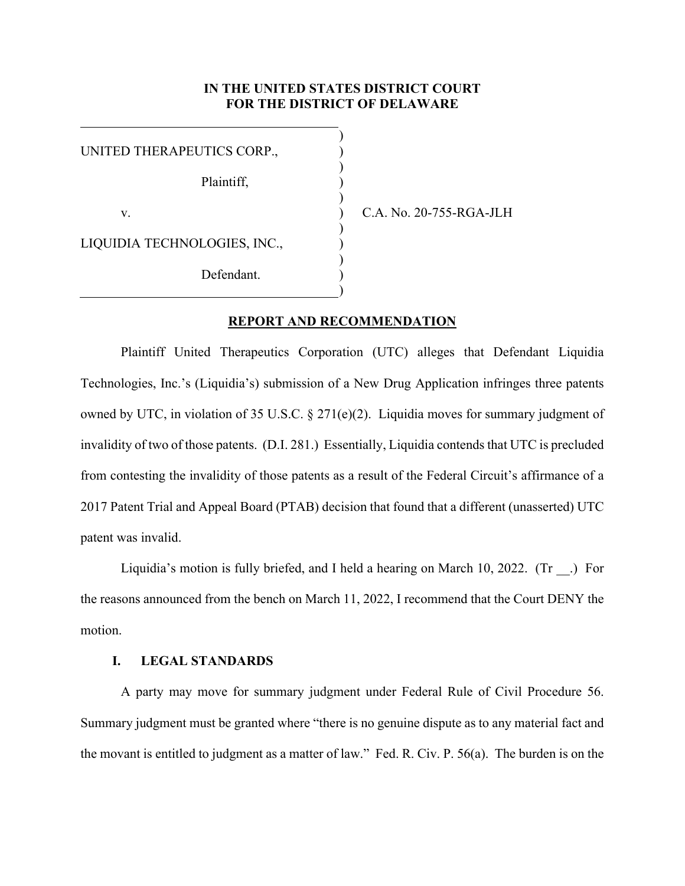## **IN THE UNITED STATES DISTRICT COURT FOR THE DISTRICT OF DELAWARE**

) ) ) ) ) ) ) ) ) ) )

| UNITED THERAPEUTICS CORP.,   |  |
|------------------------------|--|
| Plaintiff,                   |  |
| V.                           |  |
| LIQUIDIA TECHNOLOGIES, INC., |  |
| Defendant.                   |  |

C.A. No. 20-755-RGA-JLH

# **REPORT AND RECOMMENDATION**

Plaintiff United Therapeutics Corporation (UTC) alleges that Defendant Liquidia Technologies, Inc.'s (Liquidia's) submission of a New Drug Application infringes three patents owned by UTC, in violation of 35 U.S.C. § 271(e)(2). Liquidia moves for summary judgment of invalidity of two of those patents. (D.I. 281.) Essentially, Liquidia contends that UTC is precluded from contesting the invalidity of those patents as a result of the Federal Circuit's affirmance of a 2017 Patent Trial and Appeal Board (PTAB) decision that found that a different (unasserted) UTC patent was invalid.

Liquidia's motion is fully briefed, and I held a hearing on March 10, 2022. (Tr .) For the reasons announced from the bench on March 11, 2022, I recommend that the Court DENY the motion.

## **I. LEGAL STANDARDS**

A party may move for summary judgment under Federal Rule of Civil Procedure 56. Summary judgment must be granted where "there is no genuine dispute as to any material fact and the movant is entitled to judgment as a matter of law." Fed. R. Civ. P. 56(a). The burden is on the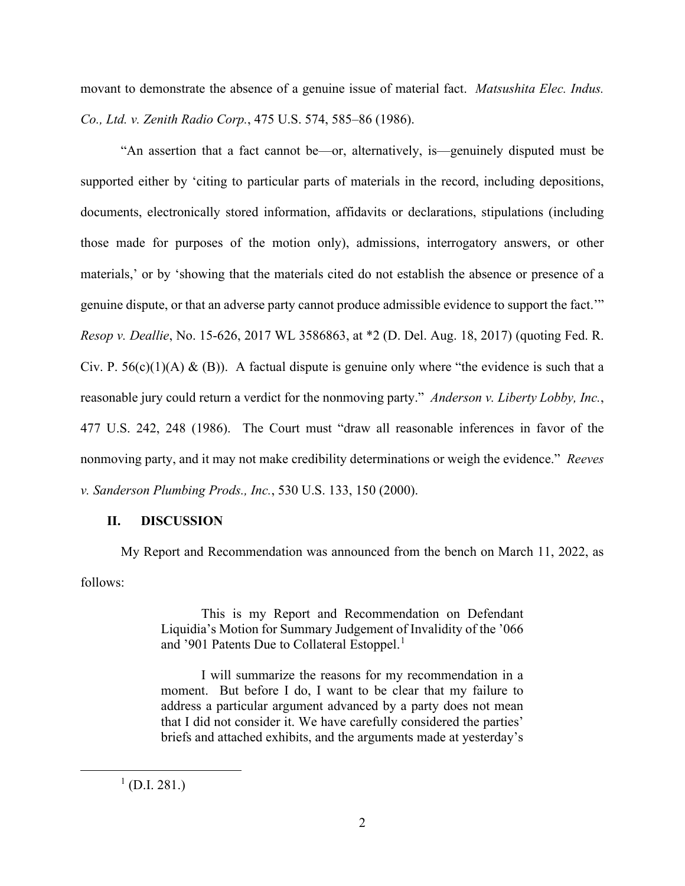movant to demonstrate the absence of a genuine issue of material fact. *Matsushita Elec. Indus. Co., Ltd. v. Zenith Radio Corp.*, 475 U.S. 574, 585–86 (1986).

"An assertion that a fact cannot be—or, alternatively, is—genuinely disputed must be supported either by 'citing to particular parts of materials in the record, including depositions, documents, electronically stored information, affidavits or declarations, stipulations (including those made for purposes of the motion only), admissions, interrogatory answers, or other materials,' or by 'showing that the materials cited do not establish the absence or presence of a genuine dispute, or that an adverse party cannot produce admissible evidence to support the fact.'" *Resop v. Deallie*, No. 15-626, 2017 WL 3586863, at \*2 (D. Del. Aug. 18, 2017) (quoting Fed. R. Civ. P. 56(c)(1)(A) & (B)). A factual dispute is genuine only where "the evidence is such that a reasonable jury could return a verdict for the nonmoving party." *Anderson v. Liberty Lobby, Inc.*, 477 U.S. 242, 248 (1986). The Court must "draw all reasonable inferences in favor of the nonmoving party, and it may not make credibility determinations or weigh the evidence." *Reeves v. Sanderson Plumbing Prods., Inc.*, 530 U.S. 133, 150 (2000).

### **II. DISCUSSION**

My Report and Recommendation was announced from the bench on March 11, 2022, as follows:

> This is my Report and Recommendation on Defendant Liquidia's Motion for Summary Judgement of Invalidity of the '066 and '90[1](#page-1-0) Patents Due to Collateral Estoppel.<sup>1</sup>

> I will summarize the reasons for my recommendation in a moment. But before I do, I want to be clear that my failure to address a particular argument advanced by a party does not mean that I did not consider it. We have carefully considered the parties' briefs and attached exhibits, and the arguments made at yesterday's

<span id="page-1-0"></span> $^{1}$  (D.I. 281.)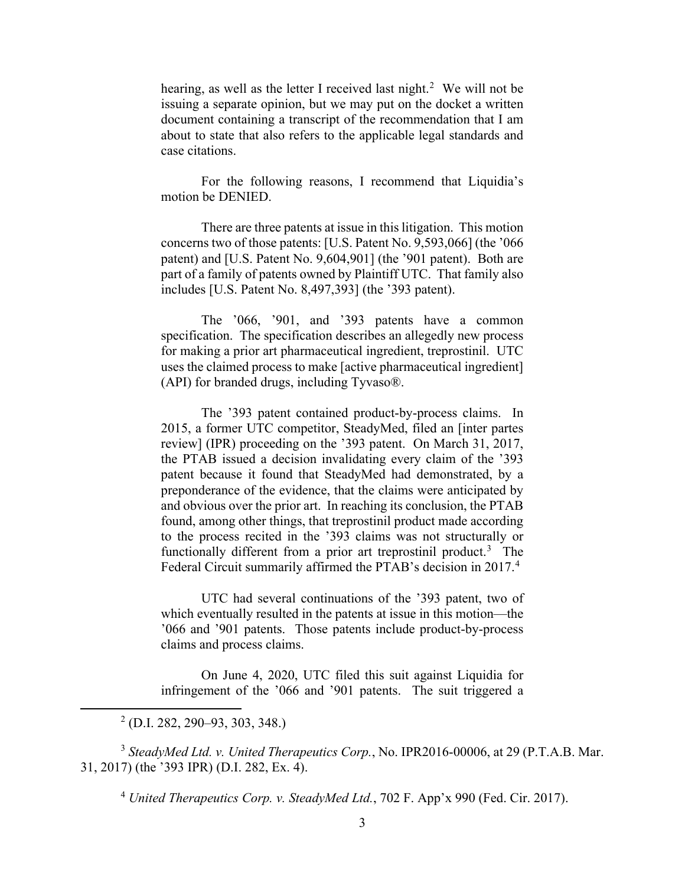hearing, as well as the letter I received last night.<sup>[2](#page-2-0)</sup> We will not be issuing a separate opinion, but we may put on the docket a written document containing a transcript of the recommendation that I am about to state that also refers to the applicable legal standards and case citations.

For the following reasons, I recommend that Liquidia's motion be DENIED.

There are three patents at issue in this litigation. This motion concerns two of those patents: [U.S. Patent No. 9,593,066] (the '066 patent) and [U.S. Patent No. 9,604,901] (the '901 patent). Both are part of a family of patents owned by Plaintiff UTC. That family also includes [U.S. Patent No. 8,497,393] (the '393 patent).

The '066, '901, and '393 patents have a common specification. The specification describes an allegedly new process for making a prior art pharmaceutical ingredient, treprostinil. UTC uses the claimed process to make [active pharmaceutical ingredient] (API) for branded drugs, including Tyvaso®.

The '393 patent contained product-by-process claims. In 2015, a former UTC competitor, SteadyMed, filed an [inter partes review] (IPR) proceeding on the '393 patent. On March 31, 2017, the PTAB issued a decision invalidating every claim of the '393 patent because it found that SteadyMed had demonstrated, by a preponderance of the evidence, that the claims were anticipated by and obvious over the prior art. In reaching its conclusion, the PTAB found, among other things, that treprostinil product made according to the process recited in the '393 claims was not structurally or functionally different from a prior art treprostinil product.<sup>[3](#page-2-1)</sup> The Federal Circuit summarily affirmed the PTAB's decision in 2017.<sup>[4](#page-2-2)</sup>

UTC had several continuations of the '393 patent, two of which eventually resulted in the patents at issue in this motion—the '066 and '901 patents. Those patents include product-by-process claims and process claims.

On June 4, 2020, UTC filed this suit against Liquidia for infringement of the '066 and '901 patents. The suit triggered a

<span id="page-2-2"></span><span id="page-2-1"></span><span id="page-2-0"></span><sup>3</sup> *SteadyMed Ltd. v. United Therapeutics Corp.*, No. IPR2016-00006, at 29 (P.T.A.B. Mar. 31, 2017) (the '393 IPR) (D.I. 282, Ex. 4).

<sup>4</sup> *United Therapeutics Corp. v. SteadyMed Ltd.*, 702 F. App'x 990 (Fed. Cir. 2017).

 $^{2}$  (D.I. 282, 290–93, 303, 348.)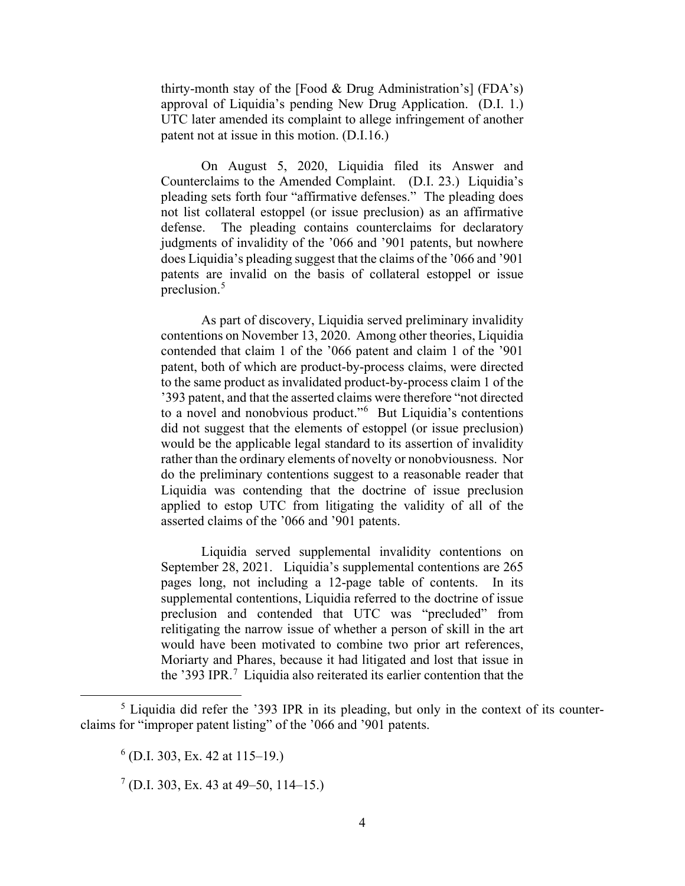thirty-month stay of the [Food & Drug Administration's] (FDA's) approval of Liquidia's pending New Drug Application. (D.I. 1.) UTC later amended its complaint to allege infringement of another patent not at issue in this motion. (D.I.16.)

On August 5, 2020, Liquidia filed its Answer and Counterclaims to the Amended Complaint. (D.I. 23.) Liquidia's pleading sets forth four "affirmative defenses." The pleading does not list collateral estoppel (or issue preclusion) as an affirmative defense. The pleading contains counterclaims for declaratory judgments of invalidity of the '066 and '901 patents, but nowhere does Liquidia's pleading suggest that the claims of the '066 and '901 patents are invalid on the basis of collateral estoppel or issue preclusion.<sup>[5](#page-3-0)</sup>

As part of discovery, Liquidia served preliminary invalidity contentions on November 13, 2020. Among other theories, Liquidia contended that claim 1 of the '066 patent and claim 1 of the '901 patent, both of which are product-by-process claims, were directed to the same product as invalidated product-by-process claim 1 of the '393 patent, and that the asserted claims were therefore "not directed to a novel and nonobvious product."<sup>[6](#page-3-1)</sup> But Liquidia's contentions did not suggest that the elements of estoppel (or issue preclusion) would be the applicable legal standard to its assertion of invalidity rather than the ordinary elements of novelty or nonobviousness. Nor do the preliminary contentions suggest to a reasonable reader that Liquidia was contending that the doctrine of issue preclusion applied to estop UTC from litigating the validity of all of the asserted claims of the '066 and '901 patents.

Liquidia served supplemental invalidity contentions on September 28, 2021. Liquidia's supplemental contentions are 265 pages long, not including a 12-page table of contents. In its supplemental contentions, Liquidia referred to the doctrine of issue preclusion and contended that UTC was "precluded" from relitigating the narrow issue of whether a person of skill in the art would have been motivated to combine two prior art references, Moriarty and Phares, because it had litigated and lost that issue in the '393 IPR.<sup>[7](#page-3-2)</sup> Liquidia also reiterated its earlier contention that the

<span id="page-3-2"></span><span id="page-3-1"></span><span id="page-3-0"></span> $<sup>5</sup>$  Liquidia did refer the '393 IPR in its pleading, but only in the context of its counter-</sup> claims for "improper patent listing" of the '066 and '901 patents.

 $<sup>6</sup>$  (D.I. 303, Ex. 42 at 115–19.)</sup>

 $7$  (D.I. 303, Ex. 43 at 49–50, 114–15.)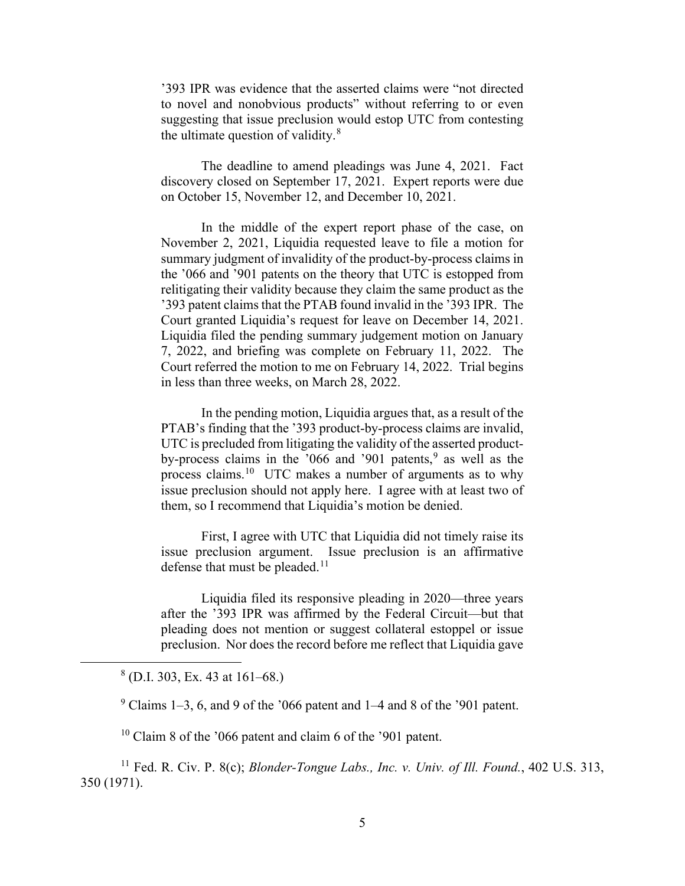'393 IPR was evidence that the asserted claims were "not directed to novel and nonobvious products" without referring to or even suggesting that issue preclusion would estop UTC from contesting the ultimate question of validity.<sup>[8](#page-4-0)</sup>

The deadline to amend pleadings was June 4, 2021. Fact discovery closed on September 17, 2021. Expert reports were due on October 15, November 12, and December 10, 2021.

In the middle of the expert report phase of the case, on November 2, 2021, Liquidia requested leave to file a motion for summary judgment of invalidity of the product-by-process claims in the '066 and '901 patents on the theory that UTC is estopped from relitigating their validity because they claim the same product as the '393 patent claims that the PTAB found invalid in the '393 IPR. The Court granted Liquidia's request for leave on December 14, 2021. Liquidia filed the pending summary judgement motion on January 7, 2022, and briefing was complete on February 11, 2022. The Court referred the motion to me on February 14, 2022. Trial begins in less than three weeks, on March 28, 2022.

In the pending motion, Liquidia argues that, as a result of the PTAB's finding that the '393 product-by-process claims are invalid, UTC is precluded from litigating the validity of the asserted productby-process claims in the  $0.066$  and  $0.901$  $0.901$  $0.901$  patents,  $9$  as well as the process claims.[10](#page-4-2) UTC makes a number of arguments as to why issue preclusion should not apply here. I agree with at least two of them, so I recommend that Liquidia's motion be denied.

First, I agree with UTC that Liquidia did not timely raise its issue preclusion argument. Issue preclusion is an affirmative defense that must be pleaded. $11$ 

Liquidia filed its responsive pleading in 2020—three years after the '393 IPR was affirmed by the Federal Circuit—but that pleading does not mention or suggest collateral estoppel or issue preclusion. Nor does the record before me reflect that Liquidia gave

<span id="page-4-0"></span> $8$  (D.I. 303, Ex. 43 at 161–68.)

 $9$  Claims 1–3, 6, and 9 of the '066 patent and 1–4 and 8 of the '901 patent.

 $10$  Claim 8 of the '066 patent and claim 6 of the '901 patent.

<span id="page-4-3"></span><span id="page-4-2"></span><span id="page-4-1"></span><sup>11</sup> Fed. R. Civ. P. 8(c); *Blonder-Tongue Labs., Inc. v. Univ. of Ill. Found.*, 402 U.S. 313, 350 (1971).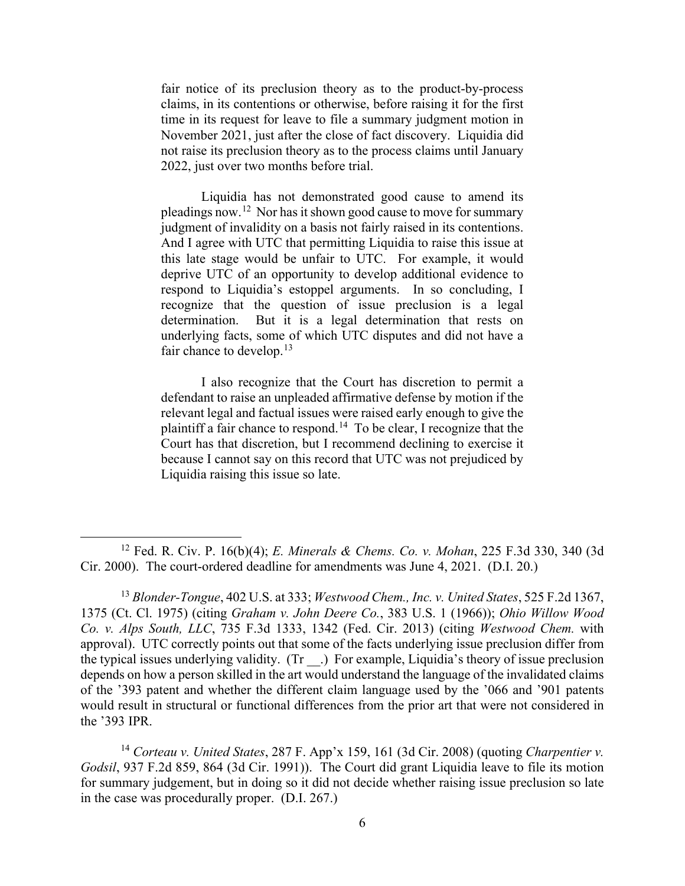fair notice of its preclusion theory as to the product-by-process claims, in its contentions or otherwise, before raising it for the first time in its request for leave to file a summary judgment motion in November 2021, just after the close of fact discovery. Liquidia did not raise its preclusion theory as to the process claims until January 2022, just over two months before trial.

Liquidia has not demonstrated good cause to amend its pleadings now.[12](#page-5-0) Nor has it shown good cause to move for summary judgment of invalidity on a basis not fairly raised in its contentions. And I agree with UTC that permitting Liquidia to raise this issue at this late stage would be unfair to UTC. For example, it would deprive UTC of an opportunity to develop additional evidence to respond to Liquidia's estoppel arguments. In so concluding, I recognize that the question of issue preclusion is a legal determination. But it is a legal determination that rests on underlying facts, some of which UTC disputes and did not have a fair chance to develop. $13$ 

I also recognize that the Court has discretion to permit a defendant to raise an unpleaded affirmative defense by motion if the relevant legal and factual issues were raised early enough to give the plaintiff a fair chance to respond.<sup>[14](#page-5-2)</sup> To be clear, I recognize that the Court has that discretion, but I recommend declining to exercise it because I cannot say on this record that UTC was not prejudiced by Liquidia raising this issue so late.

<span id="page-5-0"></span><sup>12</sup> Fed. R. Civ. P. 16(b)(4); *E. Minerals & Chems. Co. v. Mohan*, 225 F.3d 330, 340 (3d Cir. 2000). The court-ordered deadline for amendments was June 4, 2021. (D.I. 20.)

<span id="page-5-1"></span><sup>13</sup> *Blonder-Tongue*, 402 U.S. at 333; *Westwood Chem., Inc. v. United States*, 525 F.2d 1367, 1375 (Ct. Cl. 1975) (citing *Graham v. John Deere Co.*, 383 U.S. 1 (1966)); *Ohio Willow Wood Co. v. Alps South, LLC*, 735 F.3d 1333, 1342 (Fed. Cir. 2013) (citing *Westwood Chem.* with approval). UTC correctly points out that some of the facts underlying issue preclusion differ from the typical issues underlying validity. (Tr \_\_.) For example, Liquidia's theory of issue preclusion depends on how a person skilled in the art would understand the language of the invalidated claims of the '393 patent and whether the different claim language used by the '066 and '901 patents would result in structural or functional differences from the prior art that were not considered in the '393 IPR.

<span id="page-5-2"></span><sup>14</sup> *Corteau v. United States*, 287 F. App'x 159, 161 (3d Cir. 2008) (quoting *Charpentier v. Godsil*, 937 F.2d 859, 864 (3d Cir. 1991)). The Court did grant Liquidia leave to file its motion for summary judgement, but in doing so it did not decide whether raising issue preclusion so late in the case was procedurally proper. (D.I. 267.)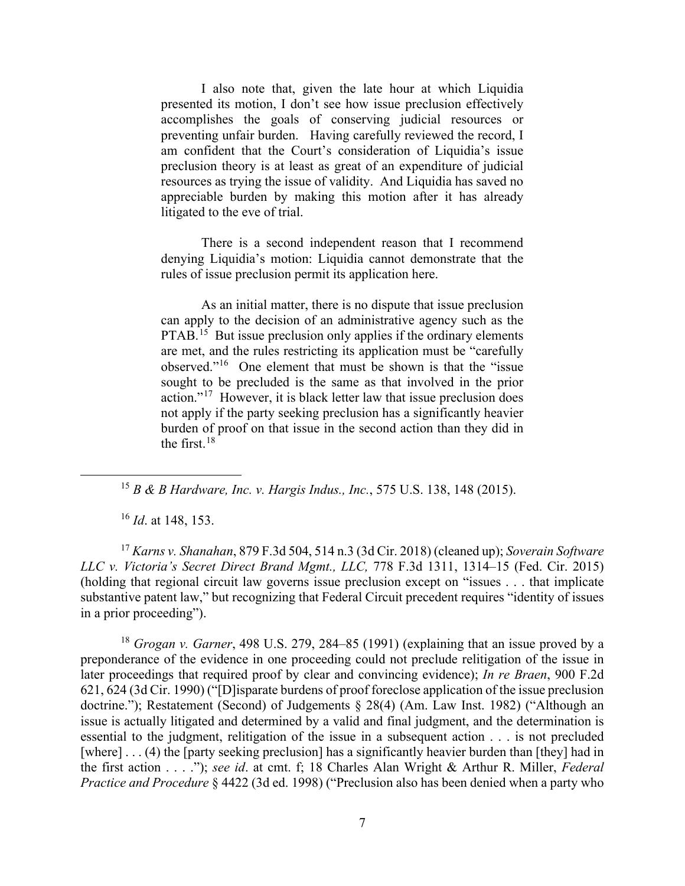I also note that, given the late hour at which Liquidia presented its motion, I don't see how issue preclusion effectively accomplishes the goals of conserving judicial resources or preventing unfair burden. Having carefully reviewed the record, I am confident that the Court's consideration of Liquidia's issue preclusion theory is at least as great of an expenditure of judicial resources as trying the issue of validity. And Liquidia has saved no appreciable burden by making this motion after it has already litigated to the eve of trial.

There is a second independent reason that I recommend denying Liquidia's motion: Liquidia cannot demonstrate that the rules of issue preclusion permit its application here.

As an initial matter, there is no dispute that issue preclusion can apply to the decision of an administrative agency such as the PTAB.<sup>[15](#page-6-0)</sup> But issue preclusion only applies if the ordinary elements are met, and the rules restricting its application must be "carefully observed."[16](#page-6-1) One element that must be shown is that the "issue sought to be precluded is the same as that involved in the prior action."[17](#page-6-2) However, it is black letter law that issue preclusion does not apply if the party seeking preclusion has a significantly heavier burden of proof on that issue in the second action than they did in the first.[18](#page-6-3) 

<sup>15</sup> *B & B Hardware, Inc. v. Hargis Indus., Inc.*, 575 U.S. 138, 148 (2015).

<sup>16</sup> *Id*. at 148, 153.

<span id="page-6-2"></span><span id="page-6-1"></span><span id="page-6-0"></span><sup>17</sup> *Karns v. Shanahan*, 879 F.3d 504, 514 n.3 (3d Cir. 2018) (cleaned up); *Soverain Software LLC v. Victoria's Secret Direct Brand Mgmt., LLC,* 778 F.3d 1311, 1314–15 (Fed. Cir. 2015) (holding that regional circuit law governs issue preclusion except on "issues . . . that implicate substantive patent law," but recognizing that Federal Circuit precedent requires "identity of issues in a prior proceeding").

<span id="page-6-3"></span><sup>18</sup> *Grogan v. Garner*, 498 U.S. 279, 284–85 (1991) (explaining that an issue proved by a preponderance of the evidence in one proceeding could not preclude relitigation of the issue in later proceedings that required proof by clear and convincing evidence); *In re Braen*, 900 F.2d 621, 624 (3d Cir. 1990) ("[D]isparate burdens of proof foreclose application of the issue preclusion doctrine."); Restatement (Second) of Judgements § 28(4) (Am. Law Inst. 1982) ("Although an issue is actually litigated and determined by a valid and final judgment, and the determination is essential to the judgment, relitigation of the issue in a subsequent action . . . is not precluded [where] . . . (4) the [party seeking preclusion] has a significantly heavier burden than [they] had in the first action . . . ."); *see id*. at cmt. f; 18 Charles Alan Wright & Arthur R. Miller, *Federal Practice and Procedure* § 4422 (3d ed. 1998) ("Preclusion also has been denied when a party who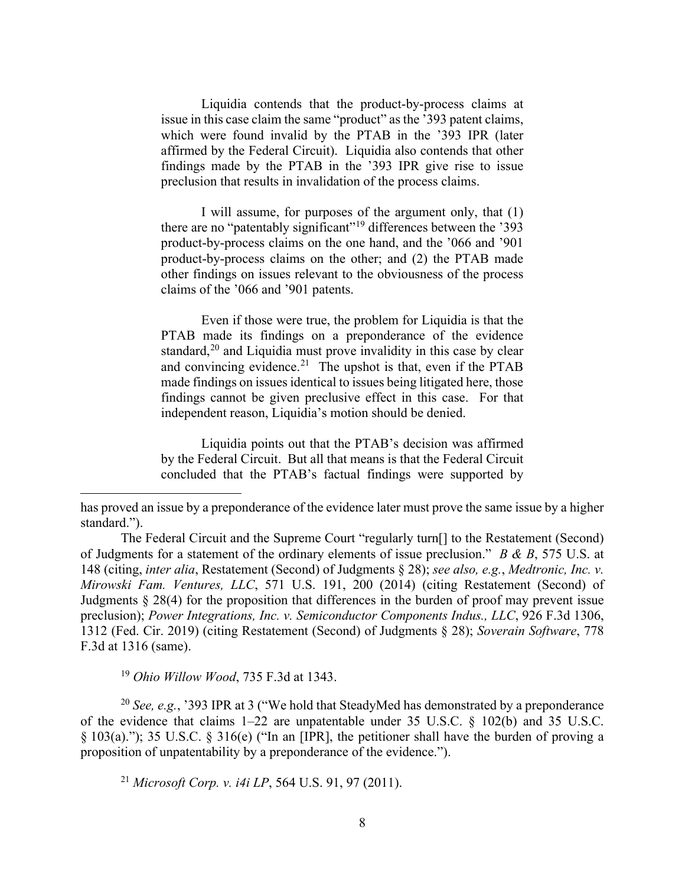Liquidia contends that the product-by-process claims at issue in this case claim the same "product" as the '393 patent claims, which were found invalid by the PTAB in the '393 IPR (later affirmed by the Federal Circuit). Liquidia also contends that other findings made by the PTAB in the '393 IPR give rise to issue preclusion that results in invalidation of the process claims.

I will assume, for purposes of the argument only, that (1) there are no "patentably significant"<sup>[19](#page-7-0)</sup> differences between the '393 product-by-process claims on the one hand, and the '066 and '901 product-by-process claims on the other; and (2) the PTAB made other findings on issues relevant to the obviousness of the process claims of the '066 and '901 patents.

Even if those were true, the problem for Liquidia is that the PTAB made its findings on a preponderance of the evidence standard, $2<sup>0</sup>$  and Liquidia must prove invalidity in this case by clear and convincing evidence.<sup>21</sup> The upshot is that, even if the PTAB made findings on issues identical to issues being litigated here, those findings cannot be given preclusive effect in this case. For that independent reason, Liquidia's motion should be denied.

Liquidia points out that the PTAB's decision was affirmed by the Federal Circuit. But all that means is that the Federal Circuit concluded that the PTAB's factual findings were supported by

<sup>19</sup> *Ohio Willow Wood*, 735 F.3d at 1343.

<span id="page-7-2"></span><span id="page-7-1"></span><span id="page-7-0"></span><sup>20</sup> *See, e.g.*, '393 IPR at 3 ("We hold that SteadyMed has demonstrated by a preponderance of the evidence that claims 1–22 are unpatentable under 35 U.S.C. § 102(b) and 35 U.S.C. § 103(a)."); 35 U.S.C. § 316(e) ("In an [IPR], the petitioner shall have the burden of proving a proposition of unpatentability by a preponderance of the evidence.").

<sup>21</sup> *Microsoft Corp. v. i4i LP*, 564 U.S. 91, 97 (2011).

has proved an issue by a preponderance of the evidence later must prove the same issue by a higher standard.").

The Federal Circuit and the Supreme Court "regularly turn[] to the Restatement (Second) of Judgments for a statement of the ordinary elements of issue preclusion." *B & B*, 575 U.S. at 148 (citing, *inter alia*, Restatement (Second) of Judgments § 28); *see also, e.g.*, *Medtronic, Inc. v. Mirowski Fam. Ventures, LLC*, 571 U.S. 191, 200 (2014) (citing Restatement (Second) of Judgments § 28(4) for the proposition that differences in the burden of proof may prevent issue preclusion); *Power Integrations, Inc. v. Semiconductor Components Indus., LLC*, 926 F.3d 1306, 1312 (Fed. Cir. 2019) (citing Restatement (Second) of Judgments § 28); *Soverain Software*, 778 F.3d at 1316 (same).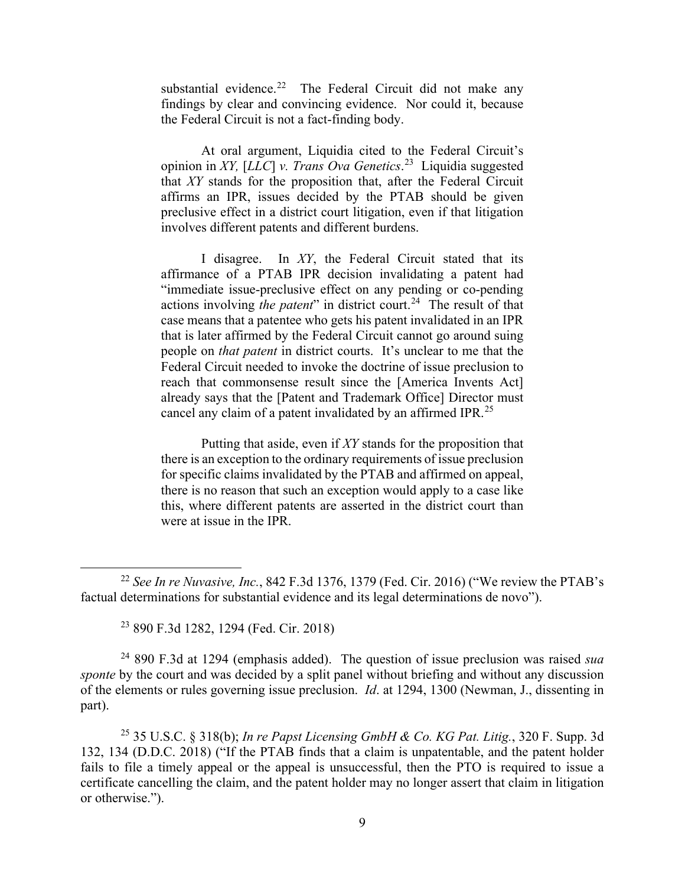substantial evidence.<sup>22</sup> The Federal Circuit did not make any findings by clear and convincing evidence. Nor could it, because the Federal Circuit is not a fact-finding body.

At oral argument, Liquidia cited to the Federal Circuit's opinion in *XY,* [*LLC*] *v. Trans Ova Genetics*. [23](#page-8-1) Liquidia suggested that *XY* stands for the proposition that, after the Federal Circuit affirms an IPR, issues decided by the PTAB should be given preclusive effect in a district court litigation, even if that litigation involves different patents and different burdens.

I disagree. In *XY*, the Federal Circuit stated that its affirmance of a PTAB IPR decision invalidating a patent had "immediate issue-preclusive effect on any pending or co-pending actions involving *the patent*" in district court.<sup>24</sup> The result of that case means that a patentee who gets his patent invalidated in an IPR that is later affirmed by the Federal Circuit cannot go around suing people on *that patent* in district courts. It's unclear to me that the Federal Circuit needed to invoke the doctrine of issue preclusion to reach that commonsense result since the [America Invents Act] already says that the [Patent and Trademark Office] Director must cancel any claim of a patent invalidated by an affirmed IPR.<sup>[25](#page-8-3)</sup>

Putting that aside, even if *XY* stands for the proposition that there is an exception to the ordinary requirements of issue preclusion for specific claims invalidated by the PTAB and affirmed on appeal, there is no reason that such an exception would apply to a case like this, where different patents are asserted in the district court than were at issue in the IPR.

<sup>23</sup> 890 F.3d 1282, 1294 (Fed. Cir. 2018)

<span id="page-8-2"></span><span id="page-8-1"></span><sup>24</sup> 890 F.3d at 1294 (emphasis added). The question of issue preclusion was raised *sua sponte* by the court and was decided by a split panel without briefing and without any discussion of the elements or rules governing issue preclusion. *Id*. at 1294, 1300 (Newman, J., dissenting in part).

<span id="page-8-3"></span><sup>25</sup> 35 U.S.C. § 318(b); *In re Papst Licensing GmbH & Co. KG Pat. Litig.*, 320 F. Supp. 3d 132, 134 (D.D.C. 2018) ("If the PTAB finds that a claim is unpatentable, and the patent holder fails to file a timely appeal or the appeal is unsuccessful, then the PTO is required to issue a certificate cancelling the claim, and the patent holder may no longer assert that claim in litigation or otherwise.").

<span id="page-8-0"></span><sup>22</sup> *See In re Nuvasive, Inc.*, 842 F.3d 1376, 1379 (Fed. Cir. 2016) ("We review the PTAB's factual determinations for substantial evidence and its legal determinations de novo").